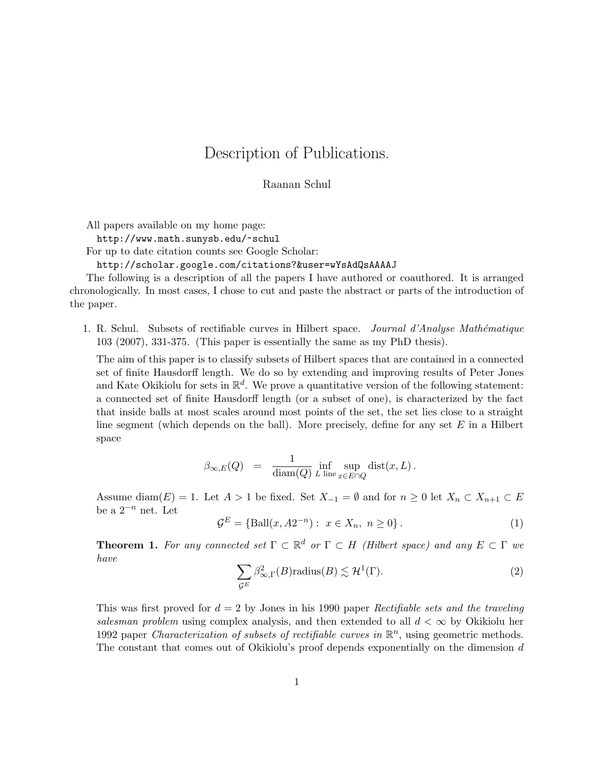## Description of Publications.

Raanan Schul

All papers available on my home page:

http://www.math.sunysb.edu/~schul

For up to date citation counts see Google Scholar:

http://scholar.google.com/citations?&user=wYsAdQsAAAAJ

The following is a description of all the papers I have authored or coauthored. It is arranged chronologically. In most cases, I chose to cut and paste the abstract or parts of the introduction of the paper.

1. R. Schul. Subsets of rectifiable curves in Hilbert space. *Journal d'Analyse Mathématique* 103 (2007), 331-375. (This paper is essentially the same as my PhD thesis).

The aim of this paper is to classify subsets of Hilbert spaces that are contained in a connected set of finite Hausdorff length. We do so by extending and improving results of Peter Jones and Kate Okikiolu for sets in  $\mathbb{R}^d$ . We prove a quantitative version of the following statement: a connected set of finite Hausdorff length (or a subset of one), is characterized by the fact that inside balls at most scales around most points of the set, the set lies close to a straight line segment (which depends on the ball). More precisely, define for any set  $E$  in a Hilbert space

$$
\beta_{\infty,E}(Q) \;\; = \;\; \frac{1}{\textnormal{diam}(Q)} \inf_{L \; \textnormal{line}} \sup_{x \in E \cap Q} \textnormal{dist}(x,L) \, .
$$

Assume diam(E) = 1. Let  $A > 1$  be fixed. Set  $X_{-1} = \emptyset$  and for  $n \geq 0$  let  $X_n \subset X_{n+1} \subset E$ be a  $2^{-n}$  net. Let

 $\mathcal{G}^E = \{ \text{Ball}(x, A2^{-n}) : x \in X_n, n \ge 0 \}.$  (1)

**Theorem 1.** For any connected set  $\Gamma \subset \mathbb{R}^d$  or  $\Gamma \subset H$  (Hilbert space) and any  $E \subset \Gamma$  we have

$$
\sum_{\mathcal{G}^E} \beta_{\infty,\Gamma}^2(B) \text{radius}(B) \lesssim \mathcal{H}^1(\Gamma). \tag{2}
$$

This was first proved for  $d = 2$  by Jones in his 1990 paper Rectifiable sets and the traveling salesman problem using complex analysis, and then extended to all  $d < \infty$  by Okikiolu her 1992 paper Characterization of subsets of rectifiable curves in  $\mathbb{R}^n$ , using geometric methods. The constant that comes out of Okikiolu's proof depends exponentially on the dimension d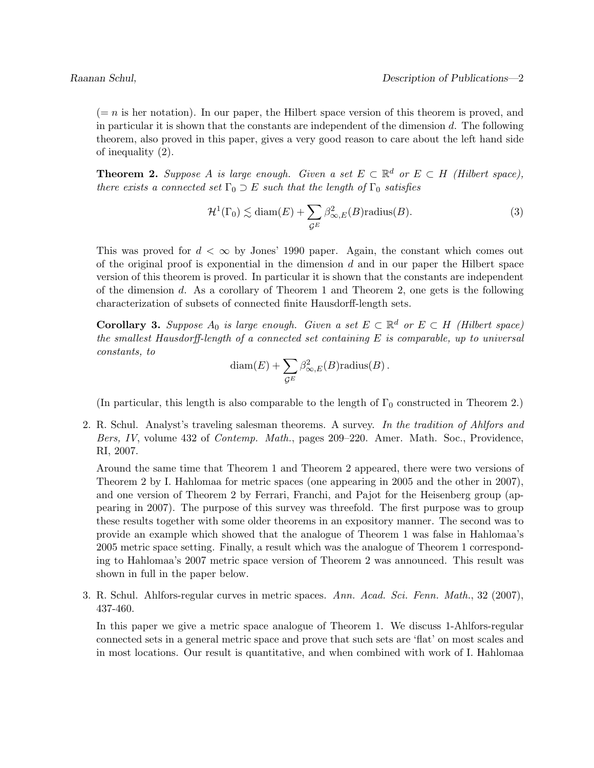$(= n \text{ is her notation}).$  In our paper, the Hilbert space version of this theorem is proved, and in particular it is shown that the constants are independent of the dimension  $d$ . The following theorem, also proved in this paper, gives a very good reason to care about the left hand side of inequality (2).

**Theorem 2.** Suppose A is large enough. Given a set  $E \subset \mathbb{R}^d$  or  $E \subset H$  (Hilbert space), there exists a connected set  $\Gamma_0 \supset E$  such that the length of  $\Gamma_0$  satisfies

$$
\mathcal{H}^1(\Gamma_0) \lesssim \text{diam}(E) + \sum_{\mathcal{G}^E} \beta_{\infty,E}^2(B) \text{radius}(B). \tag{3}
$$

This was proved for  $d < \infty$  by Jones' 1990 paper. Again, the constant which comes out of the original proof is exponential in the dimension  $d$  and in our paper the Hilbert space version of this theorem is proved. In particular it is shown that the constants are independent of the dimension  $d$ . As a corollary of Theorem 1 and Theorem 2, one gets is the following characterization of subsets of connected finite Hausdorff-length sets.

**Corollary 3.** Suppose  $A_0$  is large enough. Given a set  $E \subset \mathbb{R}^d$  or  $E \subset H$  (Hilbert space) the smallest Hausdorff-length of a connected set containing  $E$  is comparable, up to universal constants, to

$$
diam(E) + \sum_{\mathcal{G}^E} \beta_{\infty,E}^2(B) \text{radius}(B) .
$$

(In particular, this length is also comparable to the length of  $\Gamma_0$  constructed in Theorem 2.)

2. R. Schul. Analyst's traveling salesman theorems. A survey. In the tradition of Ahlfors and Bers, IV, volume 432 of Contemp. Math., pages 209–220. Amer. Math. Soc., Providence, RI, 2007.

Around the same time that Theorem 1 and Theorem 2 appeared, there were two versions of Theorem 2 by I. Hahlomaa for metric spaces (one appearing in 2005 and the other in 2007), and one version of Theorem 2 by Ferrari, Franchi, and Pajot for the Heisenberg group (appearing in 2007). The purpose of this survey was threefold. The first purpose was to group these results together with some older theorems in an expository manner. The second was to provide an example which showed that the analogue of Theorem 1 was false in Hahlomaa's 2005 metric space setting. Finally, a result which was the analogue of Theorem 1 corresponding to Hahlomaa's 2007 metric space version of Theorem 2 was announced. This result was shown in full in the paper below.

3. R. Schul. Ahlfors-regular curves in metric spaces. Ann. Acad. Sci. Fenn. Math., 32 (2007), 437-460.

In this paper we give a metric space analogue of Theorem 1. We discuss 1-Ahlfors-regular connected sets in a general metric space and prove that such sets are 'flat' on most scales and in most locations. Our result is quantitative, and when combined with work of I. Hahlomaa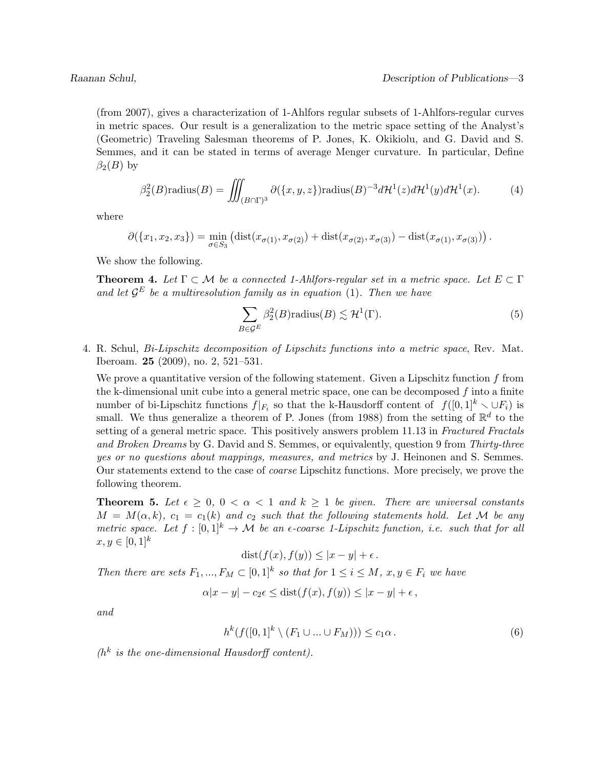(from 2007), gives a characterization of 1-Ahlfors regular subsets of 1-Ahlfors-regular curves in metric spaces. Our result is a generalization to the metric space setting of the Analyst's (Geometric) Traveling Salesman theorems of P. Jones, K. Okikiolu, and G. David and S. Semmes, and it can be stated in terms of average Menger curvature. In particular, Define  $\beta_2(B)$  by

$$
\beta_2^2(B)\text{radius}(B) = \iiint_{(B \cap \Gamma)^3} \partial(\{x, y, z\}) \text{radius}(B)^{-3} d\mathcal{H}^1(z) d\mathcal{H}^1(y) d\mathcal{H}^1(x). \tag{4}
$$

where

$$
\partial(\{x_1, x_2, x_3\}) = \min_{\sigma \in S_3} (\text{dist}(x_{\sigma(1)}, x_{\sigma(2)}) + \text{dist}(x_{\sigma(2)}, x_{\sigma(3)}) - \text{dist}(x_{\sigma(1)}, x_{\sigma(3)})).
$$

We show the following.

**Theorem 4.** Let  $\Gamma \subset \mathcal{M}$  be a connected 1-Ahlfors-regular set in a metric space. Let  $E \subset \Gamma$ and let  $\mathcal{G}^E$  be a multiresolution family as in equation (1). Then we have

$$
\sum_{B \in \mathcal{G}^E} \beta_2^2(B) \text{radius}(B) \lesssim \mathcal{H}^1(\Gamma). \tag{5}
$$

4. R. Schul, Bi-Lipschitz decomposition of Lipschitz functions into a metric space, Rev. Mat. Iberoam. 25 (2009), no. 2, 521–531.

We prove a quantitative version of the following statement. Given a Lipschitz function  $f$  from the k-dimensional unit cube into a general metric space, one can be decomposed  $f$  into a finite number of bi-Lipschitz functions  $f|_{F_i}$  so that the k-Hausdorff content of  $f([0,1]^k \setminus \cup F_i)$  is small. We thus generalize a theorem of P. Jones (from 1988) from the setting of  $\mathbb{R}^d$  to the setting of a general metric space. This positively answers problem 11.13 in Fractured Fractals and Broken Dreams by G. David and S. Semmes, or equivalently, question 9 from Thirty-three yes or no questions about mappings, measures, and metrics by J. Heinonen and S. Semmes. Our statements extend to the case of coarse Lipschitz functions. More precisely, we prove the following theorem.

**Theorem 5.** Let  $\epsilon \geq 0$ ,  $0 < \alpha < 1$  and  $k \geq 1$  be given. There are universal constants  $M = M(\alpha, k)$ ,  $c_1 = c_1(k)$  and  $c_2$  such that the following statements hold. Let M be any metric space. Let  $f : [0,1]^k \to \mathcal{M}$  be an  $\epsilon$ -coarse 1-Lipschitz function, i.e. such that for all  $x, y \in [0, 1]^k$ 

$$
dist(f(x), f(y)) \le |x - y| + \epsilon.
$$

Then there are sets  $F_1, ..., F_M \subset [0,1]^k$  so that for  $1 \le i \le M$ ,  $x, y \in F_i$  we have

$$
\alpha |x - y| - c_2 \epsilon \le \text{dist}(f(x), f(y)) \le |x - y| + \epsilon,
$$

and

$$
h^k(f([0,1]^k \setminus (F_1 \cup \ldots \cup F_M))) \le c_1 \alpha.
$$
 (6)

 $(h<sup>k</sup>$  is the one-dimensional Hausdorff content).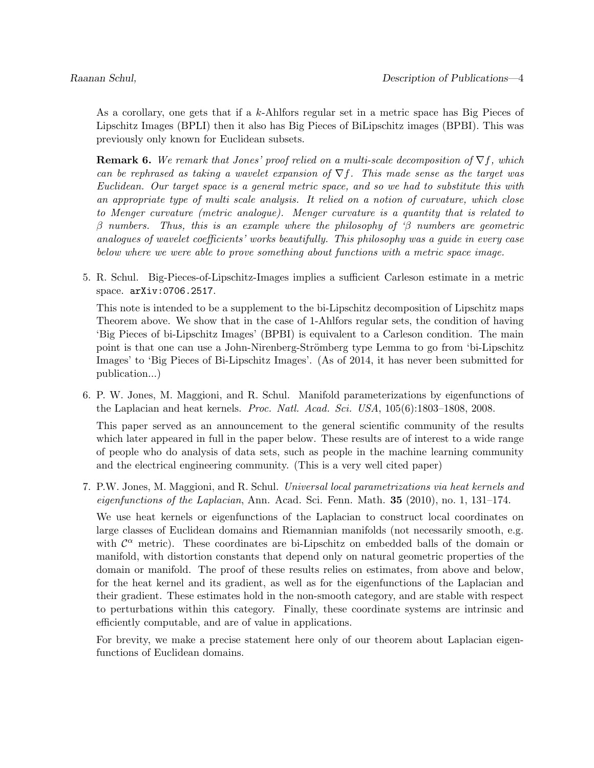As a corollary, one gets that if a k-Ahlfors regular set in a metric space has Big Pieces of Lipschitz Images (BPLI) then it also has Big Pieces of BiLipschitz images (BPBI). This was previously only known for Euclidean subsets.

**Remark 6.** We remark that Jones' proof relied on a multi-scale decomposition of  $\nabla f$ , which can be rephrased as taking a wavelet expansion of  $\nabla f$ . This made sense as the target was Euclidean. Our target space is a general metric space, and so we had to substitute this with an appropriate type of multi scale analysis. It relied on a notion of curvature, which close to Menger curvature (metric analogue). Menger curvature is a quantity that is related to  $\beta$  numbers. Thus, this is an example where the philosophy of ' $\beta$  numbers are geometric analogues of wavelet coefficients' works beautifully. This philosophy was a guide in every case below where we were able to prove something about functions with a metric space image.

5. R. Schul. Big-Pieces-of-Lipschitz-Images implies a sufficient Carleson estimate in a metric space. arXiv:0706.2517.

This note is intended to be a supplement to the bi-Lipschitz decomposition of Lipschitz maps Theorem above. We show that in the case of 1-Ahlfors regular sets, the condition of having 'Big Pieces of bi-Lipschitz Images' (BPBI) is equivalent to a Carleson condition. The main point is that one can use a John-Nirenberg-Strömberg type Lemma to go from 'bi-Lipschitz Images' to 'Big Pieces of Bi-Lipschitz Images'. (As of 2014, it has never been submitted for publication...)

6. P. W. Jones, M. Maggioni, and R. Schul. Manifold parameterizations by eigenfunctions of the Laplacian and heat kernels. Proc. Natl. Acad. Sci. USA, 105(6):1803–1808, 2008.

This paper served as an announcement to the general scientific community of the results which later appeared in full in the paper below. These results are of interest to a wide range of people who do analysis of data sets, such as people in the machine learning community and the electrical engineering community. (This is a very well cited paper)

7. P.W. Jones, M. Maggioni, and R. Schul. Universal local parametrizations via heat kernels and eigenfunctions of the Laplacian, Ann. Acad. Sci. Fenn. Math.  $35$  (2010), no. 1, 131–174.

We use heat kernels or eigenfunctions of the Laplacian to construct local coordinates on large classes of Euclidean domains and Riemannian manifolds (not necessarily smooth, e.g. with  $\mathcal{C}^{\alpha}$  metric). These coordinates are bi-Lipschitz on embedded balls of the domain or manifold, with distortion constants that depend only on natural geometric properties of the domain or manifold. The proof of these results relies on estimates, from above and below, for the heat kernel and its gradient, as well as for the eigenfunctions of the Laplacian and their gradient. These estimates hold in the non-smooth category, and are stable with respect to perturbations within this category. Finally, these coordinate systems are intrinsic and efficiently computable, and are of value in applications.

For brevity, we make a precise statement here only of our theorem about Laplacian eigenfunctions of Euclidean domains.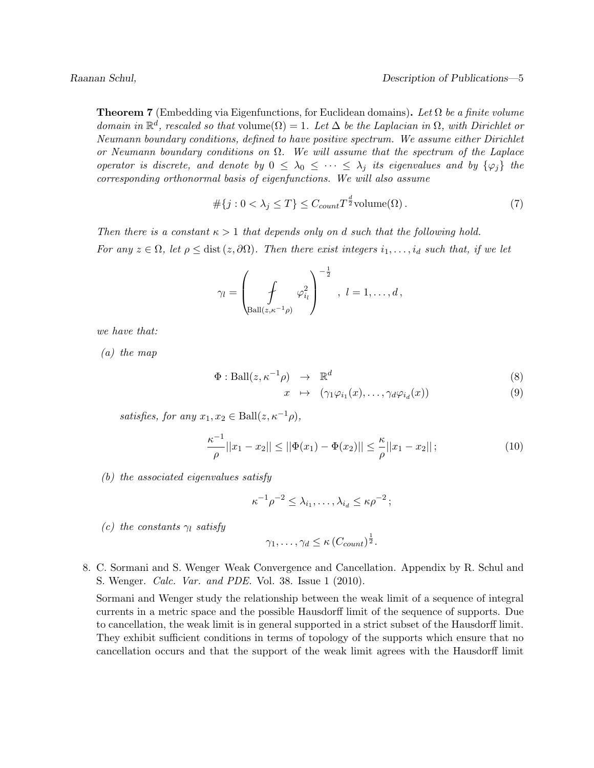**Theorem 7** (Embedding via Eigenfunctions, for Euclidean domains). Let  $\Omega$  be a finite volume domain in  $\mathbb{R}^d$ , rescaled so that volume $(\Omega) = 1$ . Let  $\Delta$  be the Laplacian in  $\Omega$ , with Dirichlet or Neumann boundary conditions, defined to have positive spectrum. We assume either Dirichlet or Neumann boundary conditions on  $\Omega$ . We will assume that the spectrum of the Laplace operator is discrete, and denote by  $0 \leq \lambda_0 \leq \cdots \leq \lambda_j$  its eigenvalues and by  $\{\varphi_i\}$  the corresponding orthonormal basis of eigenfunctions. We will also assume

$$
#\{j: 0 < \lambda_j \le T\} \le C_{count} T^{\frac{d}{2}} \text{volume}(\Omega). \tag{7}
$$

Then there is a constant  $\kappa > 1$  that depends only on d such that the following hold. For any  $z \in \Omega$ , let  $\rho \leq$  dist  $(z, \partial \Omega)$ . Then there exist integers  $i_1, \ldots, i_d$  such that, if we let

$$
\gamma_l = \left(\int\limits_{\text{Ball}(z,\kappa^{-1}\rho)} \varphi_{i_l}^2\right)^{-\frac{1}{2}}, \ l = 1,\ldots,d,
$$

we have that:

(a) the map

$$
\Phi: \text{Ball}(z, \kappa^{-1} \rho) \rightarrow \mathbb{R}^d \tag{8}
$$

$$
x \mapsto (\gamma_1 \varphi_{i_1}(x), \dots, \gamma_d \varphi_{i_d}(x)) \tag{9}
$$

satisfies, for any  $x_1, x_2 \in \text{Ball}(z, \kappa^{-1} \rho)$ ,

$$
\frac{\kappa^{-1}}{\rho}||x_1 - x_2|| \le ||\Phi(x_1) - \Phi(x_2)|| \le \frac{\kappa}{\rho}||x_1 - x_2||\tag{10}
$$

(b) the associated eigenvalues satisfy

$$
\kappa^{-1}\rho^{-2} \leq \lambda_{i_1}, \ldots, \lambda_{i_d} \leq \kappa \rho^{-2};
$$

(c) the constants  $\gamma_l$  satisfy

$$
\gamma_1, \ldots, \gamma_d \leq \kappa \left( C_{count} \right)^{\frac{1}{2}}.
$$

8. C. Sormani and S. Wenger Weak Convergence and Cancellation. Appendix by R. Schul and S. Wenger. Calc. Var. and PDE. Vol. 38. Issue 1 (2010).

Sormani and Wenger study the relationship between the weak limit of a sequence of integral currents in a metric space and the possible Hausdorff limit of the sequence of supports. Due to cancellation, the weak limit is in general supported in a strict subset of the Hausdorff limit. They exhibit sufficient conditions in terms of topology of the supports which ensure that no cancellation occurs and that the support of the weak limit agrees with the Hausdorff limit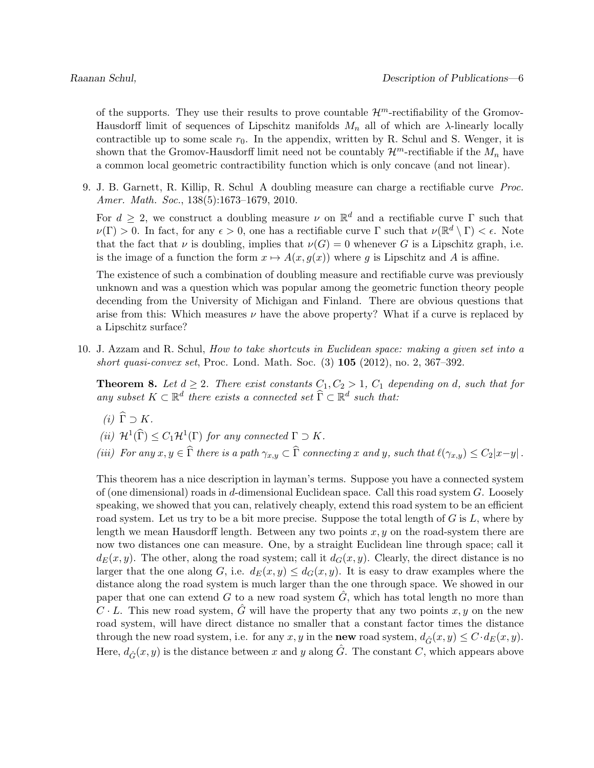of the supports. They use their results to prove countable  $\mathcal{H}^m$ -rectifiability of the Gromov-Hausdorff limit of sequences of Lipschitz manifolds  $M_n$  all of which are  $\lambda$ -linearly locally contractible up to some scale  $r_0$ . In the appendix, written by R. Schul and S. Wenger, it is shown that the Gromov-Hausdorff limit need not be countably  $\mathcal{H}^m$ -rectifiable if the  $M_n$  have a common local geometric contractibility function which is only concave (and not linear).

9. J. B. Garnett, R. Killip, R. Schul A doubling measure can charge a rectifiable curve Proc. Amer. Math. Soc., 138(5):1673-1679, 2010.

For  $d \geq 2$ , we construct a doubling measure  $\nu$  on  $\mathbb{R}^d$  and a rectifiable curve  $\Gamma$  such that  $\nu(\Gamma) > 0$ . In fact, for any  $\epsilon > 0$ , one has a rectifiable curve  $\Gamma$  such that  $\nu(\mathbb{R}^d \setminus \Gamma) < \epsilon$ . Note that the fact that  $\nu$  is doubling, implies that  $\nu(G) = 0$  whenever G is a Lipschitz graph, i.e. is the image of a function the form  $x \mapsto A(x, g(x))$  where g is Lipschitz and A is affine.

The existence of such a combination of doubling measure and rectifiable curve was previously unknown and was a question which was popular among the geometric function theory people decending from the University of Michigan and Finland. There are obvious questions that arise from this: Which measures  $\nu$  have the above property? What if a curve is replaced by a Lipschitz surface?

10. J. Azzam and R. Schul, How to take shortcuts in Euclidean space: making a given set into a short quasi-convex set, Proc. Lond. Math. Soc.  $(3)$  105  $(2012)$ , no. 2, 367–392.

**Theorem 8.** Let  $d \geq 2$ . There exist constants  $C_1, C_2 > 1$ ,  $C_1$  depending on d, such that for any subset  $K \subset \mathbb{R}^d$  there exists a connected set  $\widehat{\Gamma} \subset \mathbb{R}^d$  such that:

- (i)  $\widehat{\Gamma} \supset K$ .
- (*ii*)  $\mathcal{H}^1(\widehat{\Gamma}) \leq C_1 \mathcal{H}^1(\Gamma)$  for any connected  $\Gamma \supset K$ .
- (iii) For any  $x, y \in \hat{\Gamma}$  there is a path  $\gamma_{x,y} \subset \hat{\Gamma}$  connecting x and y, such that  $\ell(\gamma_{x,y}) \leq C_2|x-y|$ .

This theorem has a nice description in layman's terms. Suppose you have a connected system of (one dimensional) roads in d-dimensional Euclidean space. Call this road system  $G$ . Loosely speaking, we showed that you can, relatively cheaply, extend this road system to be an efficient road system. Let us try to be a bit more precise. Suppose the total length of  $G$  is  $L$ , where by length we mean Hausdorff length. Between any two points  $x, y$  on the road-system there are now two distances one can measure. One, by a straight Euclidean line through space; call it  $d_E(x, y)$ . The other, along the road system; call it  $d_G(x, y)$ . Clearly, the direct distance is no larger that the one along G, i.e.  $d_E(x, y) \leq d_G(x, y)$ . It is easy to draw examples where the distance along the road system is much larger than the one through space. We showed in our paper that one can extend G to a new road system  $\hat{G}$ , which has total length no more than  $C \cdot L$ . This new road system, G will have the property that any two points x, y on the new road system, will have direct distance no smaller that a constant factor times the distance through the new road system, i.e. for any x, y in the **new** road system,  $d_{\hat{G}}(x, y) \leq C \cdot d_E(x, y)$ . Here,  $d_{\hat{G}}(x, y)$  is the distance between x and y along  $\hat{G}$ . The constant C, which appears above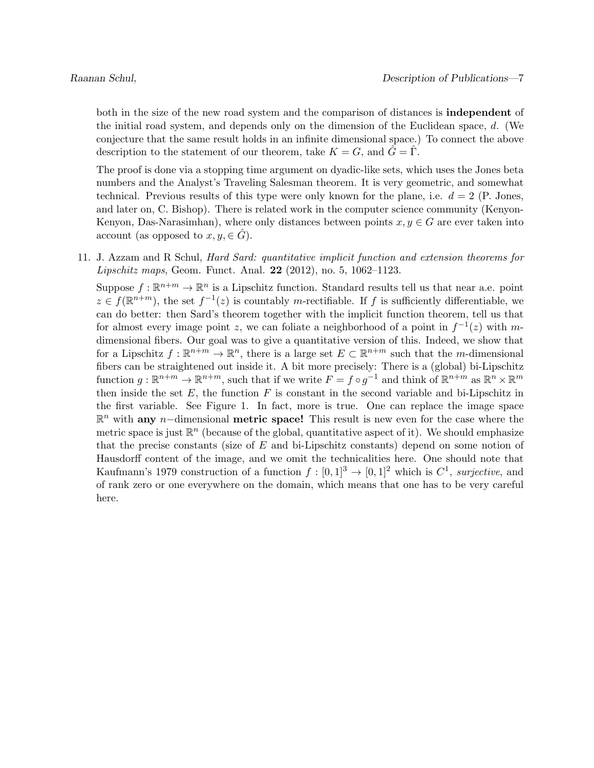both in the size of the new road system and the comparison of distances is independent of the initial road system, and depends only on the dimension of the Euclidean space, d. (We conjecture that the same result holds in an infinite dimensional space.) To connect the above description to the statement of our theorem, take  $K = G$ , and  $\tilde{G} = \tilde{\Gamma}$ .

The proof is done via a stopping time argument on dyadic-like sets, which uses the Jones beta numbers and the Analyst's Traveling Salesman theorem. It is very geometric, and somewhat technical. Previous results of this type were only known for the plane, i.e.  $d = 2$  (P. Jones, and later on, C. Bishop). There is related work in the computer science community (Kenyon-Kenyon, Das-Narasimhan), where only distances between points  $x, y \in G$  are ever taken into account (as opposed to  $x, y \in \hat{G}$ ).

11. J. Azzam and R Schul, Hard Sard: quantitative implicit function and extension theorems for *Lipschitz maps*, Geom. Funct. Anal. **22** (2012), no. 5, 1062–1123.

Suppose  $f: \mathbb{R}^{n+m} \to \mathbb{R}^n$  is a Lipschitz function. Standard results tell us that near a.e. point  $z \in f(\mathbb{R}^{n+m})$ , the set  $f^{-1}(z)$  is countably m-rectifiable. If f is sufficiently differentiable, we can do better: then Sard's theorem together with the implicit function theorem, tell us that for almost every image point z, we can foliate a neighborhood of a point in  $f^{-1}(z)$  with mdimensional fibers. Our goal was to give a quantitative version of this. Indeed, we show that for a Lipschitz  $f : \mathbb{R}^{n+m} \to \mathbb{R}^n$ , there is a large set  $E \subset \mathbb{R}^{n+m}$  such that the *m*-dimensional fibers can be straightened out inside it. A bit more precisely: There is a (global) bi-Lipschitz function  $g: \mathbb{R}^{n+m} \to \mathbb{R}^{n+m}$ , such that if we write  $F = f \circ g^{-1}$  and think of  $\mathbb{R}^{n+m}$  as  $\mathbb{R}^n \times \mathbb{R}^m$ then inside the set  $E$ , the function  $F$  is constant in the second variable and bi-Lipschitz in the first variable. See Figure 1. In fact, more is true. One can replace the image space  $\mathbb{R}^n$  with any n-dimensional metric space! This result is new even for the case where the metric space is just  $\mathbb{R}^n$  (because of the global, quantitative aspect of it). We should emphasize that the precise constants (size of  $E$  and bi-Lipschitz constants) depend on some notion of Hausdorff content of the image, and we omit the technicalities here. One should note that Kaufmann's 1979 construction of a function  $f: [0,1]^3 \to [0,1]^2$  which is  $C^1$ , surjective, and of rank zero or one everywhere on the domain, which means that one has to be very careful here.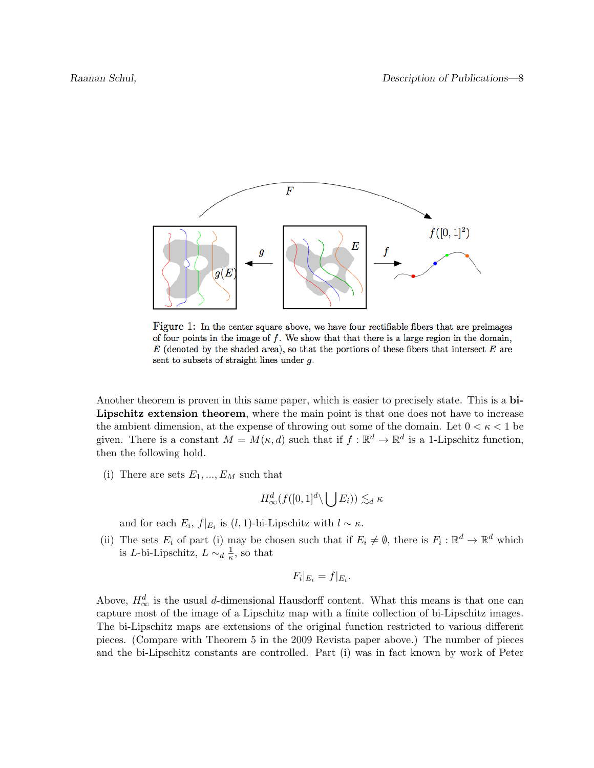

Figure 1: In the center square above, we have four rectifiable fibers that are preimages of four points in the image of  $f$ . We show that that there is a large region in the domain,  $E$  (denoted by the shaded area), so that the portions of these fibers that intersect  $E$  are sent to subsets of straight lines under g.

Another theorem is proven in this same paper, which is easier to precisely state. This is a bi-Lipschitz extension theorem, where the main point is that one does not have to increase the ambient dimension, at the expense of throwing out some of the domain. Let  $0 < \kappa < 1$  be given. There is a constant  $M = M(\kappa, d)$  such that if  $f : \mathbb{R}^d \to \mathbb{R}^d$  is a 1-Lipschitz function, then the following hold.

(i) There are sets  $E_1, ..., E_M$  such that

$$
H^d_{\infty}(f([0,1]^d \setminus \bigcup E_i)) \lesssim_d \kappa
$$

and for each  $E_i$ ,  $f|_{E_i}$  is  $(l, 1)$ -bi-Lipschitz with  $l \sim \kappa$ .

(ii) The sets  $E_i$  of part (i) may be chosen such that if  $E_i \neq \emptyset$ , there is  $F_i : \mathbb{R}^d \to \mathbb{R}^d$  which is L-bi-Lipschitz,  $L \sim_d \frac{1}{\kappa}$  $\frac{1}{\kappa}$ , so that

$$
F_i|_{E_i}=f|_{E_i}.
$$

Above,  $H_{\infty}^{d}$  is the usual d-dimensional Hausdorff content. What this means is that one can capture most of the image of a Lipschitz map with a finite collection of bi-Lipschitz images. The bi-Lipschitz maps are extensions of the original function restricted to various different pieces. (Compare with Theorem 5 in the 2009 Revista paper above.) The number of pieces and the bi-Lipschitz constants are controlled. Part (i) was in fact known by work of Peter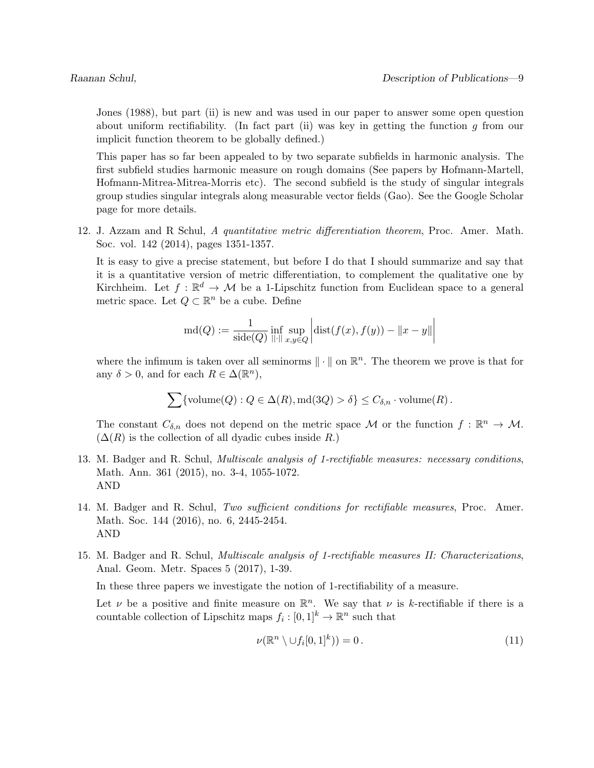Jones (1988), but part (ii) is new and was used in our paper to answer some open question about uniform rectifiability. (In fact part (ii) was key in getting the function  $g$  from our implicit function theorem to be globally defined.)

This paper has so far been appealed to by two separate subfields in harmonic analysis. The first subfield studies harmonic measure on rough domains (See papers by Hofmann-Martell, Hofmann-Mitrea-Mitrea-Morris etc). The second subfield is the study of singular integrals group studies singular integrals along measurable vector fields (Gao). See the Google Scholar page for more details.

12. J. Azzam and R Schul, A quantitative metric differentiation theorem, Proc. Amer. Math. Soc. vol. 142 (2014), pages 1351-1357.

It is easy to give a precise statement, but before I do that I should summarize and say that it is a quantitative version of metric differentiation, to complement the qualitative one by Kirchheim. Let  $f: \mathbb{R}^d \to \mathcal{M}$  be a 1-Lipschitz function from Euclidean space to a general metric space. Let  $Q \subset \mathbb{R}^n$  be a cube. Define

$$
md(Q) := \frac{1}{side(Q)} \inf_{\| \cdot \|_{x,y \in Q}} \left| dist(f(x), f(y)) - \|x - y\| \right|
$$

where the infimum is taken over all seminorms  $\|\cdot\|$  on  $\mathbb{R}^n$ . The theorem we prove is that for any  $\delta > 0$ , and for each  $R \in \Delta(\mathbb{R}^n)$ ,

$$
\sum {\text{volume}(Q) : Q \in \Delta(R), \text{md}(3Q) > \delta} \leq C_{\delta,n} \cdot \text{volume}(R).
$$

The constant  $C_{\delta,n}$  does not depend on the metric space M or the function  $f: \mathbb{R}^n \to M$ .  $(\Delta(R)$  is the collection of all dyadic cubes inside R.)

- 13. M. Badger and R. Schul, Multiscale analysis of 1-rectifiable measures: necessary conditions, Math. Ann. 361 (2015), no. 3-4, 1055-1072. AND
- 14. M. Badger and R. Schul, Two sufficient conditions for rectifiable measures, Proc. Amer. Math. Soc. 144 (2016), no. 6, 2445-2454. AND
- 15. M. Badger and R. Schul, Multiscale analysis of 1-rectifiable measures II: Characterizations, Anal. Geom. Metr. Spaces 5 (2017), 1-39.

In these three papers we investigate the notion of 1-rectifiability of a measure.

Let  $\nu$  be a positive and finite measure on  $\mathbb{R}^n$ . We say that  $\nu$  is k-rectifiable if there is a countable collection of Lipschitz maps  $f_i : [0,1]^k \to \mathbb{R}^n$  such that

$$
\nu(\mathbb{R}^n \setminus \cup f_i[0,1]^k)) = 0.
$$
\n(11)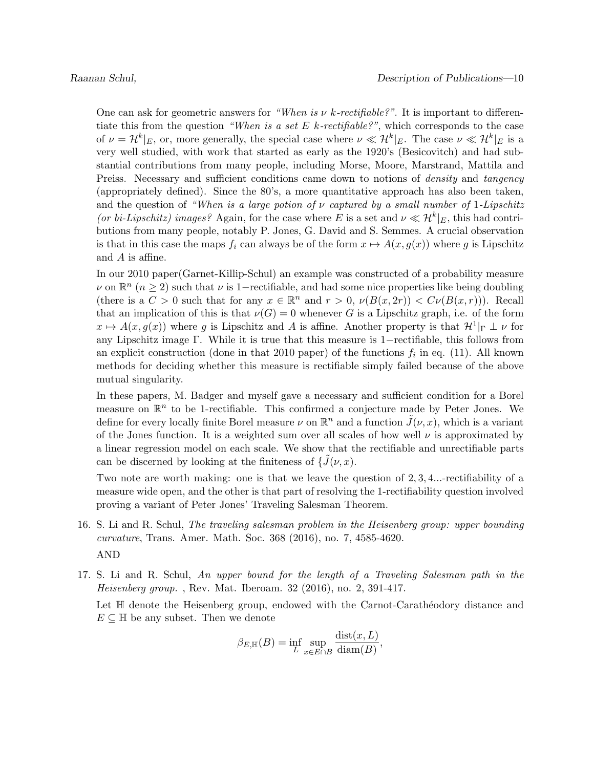One can ask for geometric answers for "When is  $\nu$  k-rectifiable?". It is important to differentiate this from the question "When is a set E k-rectifiable?", which corresponds to the case of  $\nu = \mathcal{H}^k|_E$ , or, more generally, the special case where  $\nu \ll \mathcal{H}^k|_E$ . The case  $\nu \ll \mathcal{H}^k|_E$  is a very well studied, with work that started as early as the 1920's (Besicovitch) and had substantial contributions from many people, including Morse, Moore, Marstrand, Mattila and Preiss. Necessary and sufficient conditions came down to notions of *density* and *tangency* (appropriately defined). Since the 80's, a more quantitative approach has also been taken, and the question of "When is a large potion of  $\nu$  captured by a small number of 1-Lipschitz (or bi-Lipschitz) images? Again, for the case where E is a set and  $\nu \ll H^k|_E$ , this had contributions from many people, notably P. Jones, G. David and S. Semmes. A crucial observation is that in this case the maps  $f_i$  can always be of the form  $x \mapsto A(x, g(x))$  where g is Lipschitz and A is affine.

In our 2010 paper(Garnet-Killip-Schul) an example was constructed of a probability measure v on  $\mathbb{R}^n$  ( $n \geq 2$ ) such that v is 1-rectifiable, and had some nice properties like being doubling (there is a  $C > 0$  such that for any  $x \in \mathbb{R}^n$  and  $r > 0$ ,  $\nu(B(x, 2r)) < C\nu(B(x, r))$ ). Recall that an implication of this is that  $\nu(G) = 0$  whenever G is a Lipschitz graph, i.e. of the form  $x \mapsto A(x, g(x))$  where g is Lipschitz and A is affine. Another property is that  $\mathcal{H}^1|_{\Gamma} \perp \nu$  for any Lipschitz image Γ. While it is true that this measure is 1−rectifiable, this follows from an explicit construction (done in that 2010 paper) of the functions  $f_i$  in eq. (11). All known methods for deciding whether this measure is rectifiable simply failed because of the above mutual singularity.

In these papers, M. Badger and myself gave a necessary and sufficient condition for a Borel measure on  $\mathbb{R}^n$  to be 1-rectifiable. This confirmed a conjecture made by Peter Jones. We define for every locally finite Borel measure  $\nu$  on  $\mathbb{R}^n$  and a function  $\tilde{J}(\nu, x)$ , which is a variant of the Jones function. It is a weighted sum over all scales of how well  $\nu$  is approximated by a linear regression model on each scale. We show that the rectifiable and unrectifiable parts can be discerned by looking at the finiteness of  $\{J(\nu, x)$ .

Two note are worth making: one is that we leave the question of 2, 3, 4...-rectifiability of a measure wide open, and the other is that part of resolving the 1-rectifiability question involved proving a variant of Peter Jones' Traveling Salesman Theorem.

- 16. S. Li and R. Schul, The traveling salesman problem in the Heisenberg group: upper bounding curvature, Trans. Amer. Math. Soc. 368 (2016), no. 7, 4585-4620. AND
- 17. S. Li and R. Schul, An upper bound for the length of a Traveling Salesman path in the Heisenberg group. , Rev. Mat. Iberoam. 32 (2016), no. 2, 391-417.

Let  $\mathbb H$  denote the Heisenberg group, endowed with the Carnot-Carathéodory distance and  $E \subseteq \mathbb{H}$  be any subset. Then we denote

$$
\beta_{E,\mathbb{H}}(B) = \inf_{L} \sup_{x \in E \cap B} \frac{\text{dist}(x,L)}{\text{diam}(B)},
$$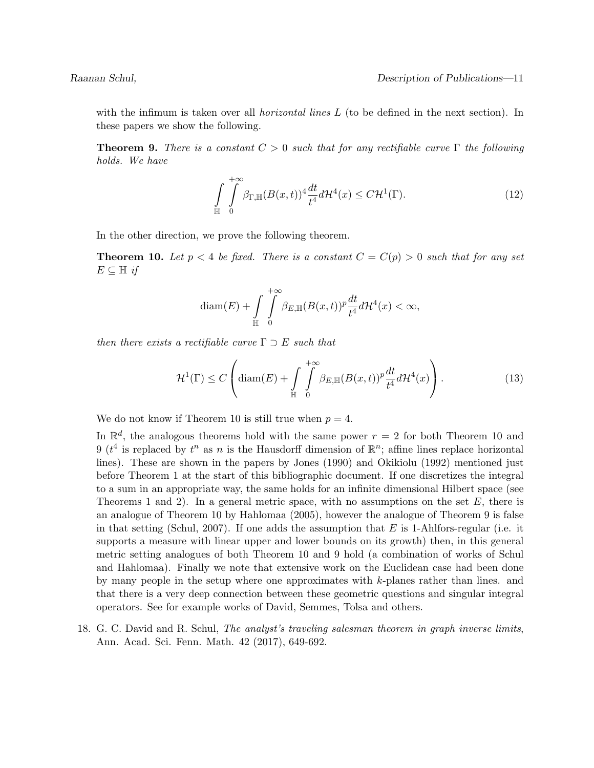with the infimum is taken over all *horizontal lines*  $L$  (to be defined in the next section). In these papers we show the following.

**Theorem 9.** There is a constant  $C > 0$  such that for any rectifiable curve  $\Gamma$  the following holds. We have

$$
\int_{\mathbb{H}} \int_{0}^{+\infty} \beta_{\Gamma, \mathbb{H}} (B(x, t))^4 \frac{dt}{t^4} d\mathcal{H}^4(x) \le C \mathcal{H}^1(\Gamma). \tag{12}
$$

In the other direction, we prove the following theorem.

**Theorem 10.** Let  $p < 4$  be fixed. There is a constant  $C = C(p) > 0$  such that for any set  $E \subseteq \mathbb{H}$  if

$$
\text{diam}(E) + \int\limits_{\mathbb{H}} \int\limits_{0}^{+\infty} \beta_{E,\mathbb{H}}(B(x,t))^p \frac{dt}{t^4} d\mathcal{H}^4(x) < \infty,
$$

then there exists a rectifiable curve  $\Gamma \supset E$  such that

$$
\mathcal{H}^{1}(\Gamma) \le C \left( \text{diam}(E) + \int\limits_{\mathbb{H}} \int\limits_{0}^{+\infty} \beta_{E,\mathbb{H}}(B(x,t))^{p} \frac{dt}{t^{4}} d\mathcal{H}^{4}(x) \right). \tag{13}
$$

We do not know if Theorem 10 is still true when  $p = 4$ .

In  $\mathbb{R}^d$ , the analogous theorems hold with the same power  $r = 2$  for both Theorem 10 and 9 ( $t^4$  is replaced by  $t^n$  as n is the Hausdorff dimension of  $\mathbb{R}^n$ ; affine lines replace horizontal lines). These are shown in the papers by Jones (1990) and Okikiolu (1992) mentioned just before Theorem 1 at the start of this bibliographic document. If one discretizes the integral to a sum in an appropriate way, the same holds for an infinite dimensional Hilbert space (see Theorems 1 and 2). In a general metric space, with no assumptions on the set  $E$ , there is an analogue of Theorem 10 by Hahlomaa (2005), however the analogue of Theorem 9 is false in that setting (Schul, 2007). If one adds the assumption that  $E$  is 1-Ahlfors-regular (i.e. it supports a measure with linear upper and lower bounds on its growth) then, in this general metric setting analogues of both Theorem 10 and 9 hold (a combination of works of Schul and Hahlomaa). Finally we note that extensive work on the Euclidean case had been done by many people in the setup where one approximates with k-planes rather than lines. and that there is a very deep connection between these geometric questions and singular integral operators. See for example works of David, Semmes, Tolsa and others.

18. G. C. David and R. Schul, The analyst's traveling salesman theorem in graph inverse limits, Ann. Acad. Sci. Fenn. Math. 42 (2017), 649-692.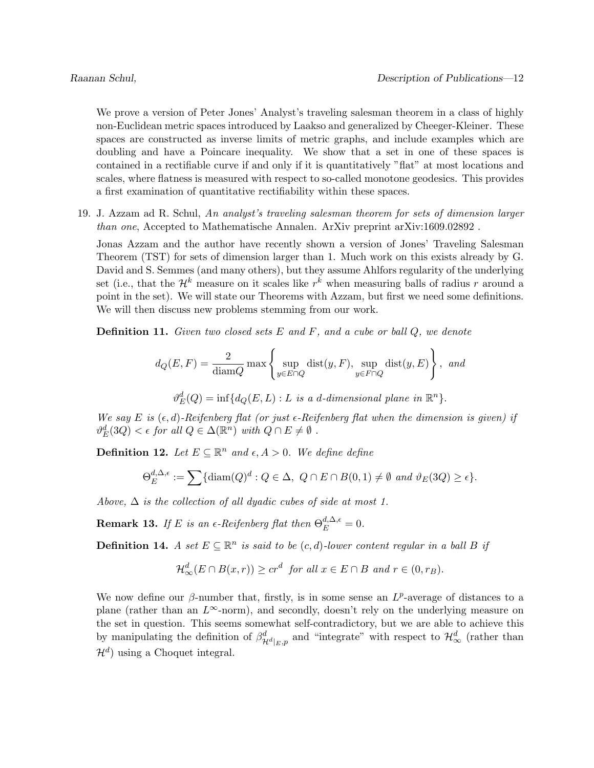We prove a version of Peter Jones' Analyst's traveling salesman theorem in a class of highly non-Euclidean metric spaces introduced by Laakso and generalized by Cheeger-Kleiner. These spaces are constructed as inverse limits of metric graphs, and include examples which are doubling and have a Poincare inequality. We show that a set in one of these spaces is contained in a rectifiable curve if and only if it is quantitatively "flat" at most locations and scales, where flatness is measured with respect to so-called monotone geodesics. This provides a first examination of quantitative rectifiability within these spaces.

19. J. Azzam ad R. Schul, An analyst's traveling salesman theorem for sets of dimension larger than one, Accepted to Mathematische Annalen. ArXiv preprint arXiv:1609.02892 .

Jonas Azzam and the author have recently shown a version of Jones' Traveling Salesman Theorem (TST) for sets of dimension larger than 1. Much work on this exists already by G. David and S. Semmes (and many others), but they assume Ahlfors regularity of the underlying set (i.e., that the  $\mathcal{H}^k$  measure on it scales like  $r^k$  when measuring balls of radius r around a point in the set). We will state our Theorems with Azzam, but first we need some definitions. We will then discuss new problems stemming from our work.

**Definition 11.** Given two closed sets  $E$  and  $F$ , and a cube or ball  $Q$ , we denote

$$
d_Q(E, F) = \frac{2}{\text{diam}Q} \max \left\{ \sup_{y \in E \cap Q} \text{dist}(y, F), \sup_{y \in F \cap Q} \text{dist}(y, E) \right\}, \text{ and}
$$

 $\vartheta_{E}^{d}(Q) = \inf \{ d_{Q}(E, L) : L \text{ is a } d\text{-dimensional plane in } \mathbb{R}^{n} \}.$ 

We say E is  $(\epsilon, d)$ -Reifenberg flat (or just  $\epsilon$ -Reifenberg flat when the dimension is given) if  $\vartheta_E^d(3Q) < \epsilon$  for all  $Q \in \Delta(\mathbb{R}^n)$  with  $Q \cap E \neq \emptyset$ .

**Definition 12.** Let  $E \subseteq \mathbb{R}^n$  and  $\epsilon, A > 0$ . We define define

$$
\Theta_E^{d,\Delta,\epsilon} := \sum \{ \text{diam}(Q)^d : Q \in \Delta, \ Q \cap E \cap B(0,1) \neq \emptyset \text{ and } \vartheta_E(3Q) \geq \epsilon \}.
$$

Above,  $\Delta$  is the collection of all dyadic cubes of side at most 1.

**Remark 13.** If E is an  $\epsilon$ -Reifenberg flat then  $\Theta_E^{d,\Delta,\epsilon} = 0$ .

**Definition 14.** A set  $E \subseteq \mathbb{R}^n$  is said to be  $(c, d)$ -lower content regular in a ball B if

$$
\mathcal{H}^d_{\infty}(E \cap B(x,r)) \ge cr^d \text{ for all } x \in E \cap B \text{ and } r \in (0,r_B).
$$

We now define our  $\beta$ -number that, firstly, is in some sense an  $L^p$ -average of distances to a plane (rather than an  $L^{\infty}$ -norm), and secondly, doesn't rely on the underlying measure on the set in question. This seems somewhat self-contradictory, but we are able to achieve this by manipulating the definition of  $\beta^d_{\mathcal{H}^d|_E,p}$  and "integrate" with respect to  $\mathcal{H}^d_{\infty}$  (rather than  $\mathcal{H}^d$ ) using a Choquet integral.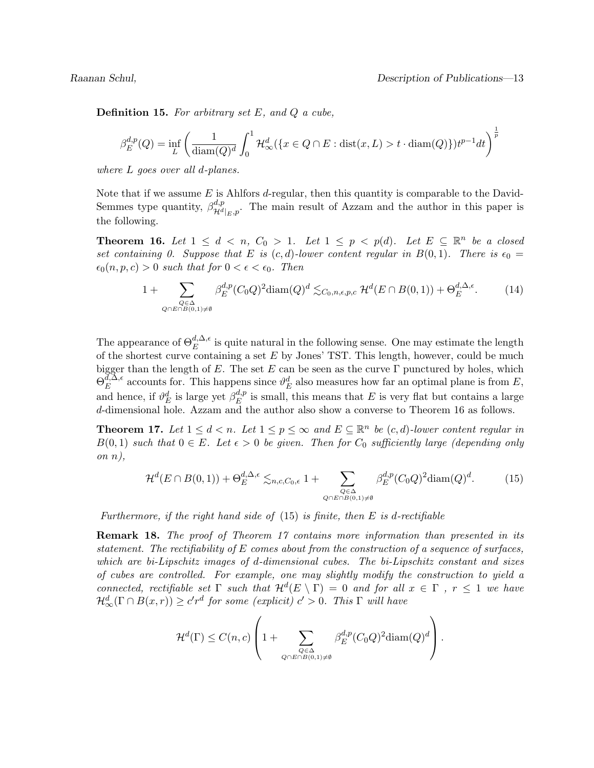**Definition 15.** For arbitrary set  $E$ , and  $Q$  a cube,

$$
\beta_E^{d,p}(Q) = \inf_L \left( \frac{1}{\text{diam}(Q)^d} \int_0^1 \mathcal{H}_\infty^d(\{x \in Q \cap E : \text{dist}(x, L) > t \cdot \text{diam}(Q)\}) t^{p-1} dt \right)^{\frac{1}{p}}
$$

where L goes over all d-planes.

Note that if we assume E is Ahlfors d-regular, then this quantity is comparable to the David-Semmes type quantity,  $\beta_{\mathcal{U}_{d}}^{d,p}$  $\mathcal{H}^{d,p}_{\mathcal{H}^{d}|_{E},p}$ . The main result of Azzam and the author in this paper is the following.

**Theorem 16.** Let  $1 \leq d \leq n$ ,  $C_0 > 1$ . Let  $1 \leq p \leq p(d)$ . Let  $E \subseteq \mathbb{R}^n$  be a closed set containing 0. Suppose that E is  $(c, d)$ -lower content regular in  $B(0, 1)$ . There is  $\epsilon_0 =$  $\epsilon_0(n, p, c) > 0$  such that for  $0 < \epsilon < \epsilon_0$ . Then

$$
1 + \sum_{\substack{Q \in \Delta \\ Q \cap E \cap B(0,1) \neq \emptyset}} \beta_E^{d,p}(C_0 Q)^2 \text{diam}(Q)^d \lesssim_{C_0, n, \epsilon, p, c} \mathcal{H}^d(E \cap B(0,1)) + \Theta_E^{d, \Delta, \epsilon}.
$$
 (14)

The appearance of  $\Theta_E^{d,\Delta,\epsilon}$  is quite natural in the following sense. One may estimate the length of the shortest curve containing a set  $E$  by Jones' TST. This length, however, could be much bigger than the length of E. The set E can be seen as the curve  $\Gamma$  punctured by holes, which  $\Theta^{ \bar{d},\bar{\Delta},\epsilon}_{E}$  $E^{d,\Delta,\epsilon}$  accounts for. This happens since  $\vartheta_E^d$  also measures how far an optimal plane is from E, and hence, if  $\vartheta_E^d$  is large yet  $\beta_E^{d,p}$  $E_E^{a,p}$  is small, this means that E is very flat but contains a large d-dimensional hole. Azzam and the author also show a converse to Theorem 16 as follows.

**Theorem 17.** Let  $1 \leq d < n$ . Let  $1 \leq p \leq \infty$  and  $E \subseteq \mathbb{R}^n$  be  $(c, d)$ -lower content regular in  $B(0, 1)$  such that  $0 \in E$ . Let  $\epsilon > 0$  be given. Then for  $C_0$  sufficiently large (depending only on  $n$ ),

$$
\mathcal{H}^d(E \cap B(0,1)) + \Theta_E^{d,\Delta,\epsilon} \lesssim_{n,c,C_0,\epsilon} 1 + \sum_{\substack{Q \in \Delta \\ Q \cap E \cap B(0,1)\neq \emptyset}} \beta_E^{d,p}(C_0 Q)^2 \text{diam}(Q)^d. \tag{15}
$$

Furthermore, if the right hand side of  $(15)$  is finite, then E is d-rectifiable

Remark 18. The proof of Theorem 17 contains more information than presented in its statement. The rectifiability of  $E$  comes about from the construction of a sequence of surfaces, which are bi-Lipschitz images of d-dimensional cubes. The bi-Lipschitz constant and sizes of cubes are controlled. For example, one may slightly modify the construction to yield a connected, rectifiable set  $\Gamma$  such that  $\mathcal{H}^d(E \setminus \Gamma) = 0$  and for all  $x \in \Gamma$ ,  $r \leq 1$  we have  $\mathcal{H}^{d}_{\infty}(\Gamma \cap B(x,r)) \geq c'r^{d}$  for some (explicit)  $c' > 0$ . This  $\Gamma$  will have

$$
\mathcal{H}^{d}(\Gamma) \leq C(n,c) \left( 1 + \sum_{Q \subset \Delta \atop Q \cap E \cap B(0,1) \neq \emptyset} \beta_E^{d,p}(C_0 Q)^2 \text{diam}(Q)^d \right).
$$